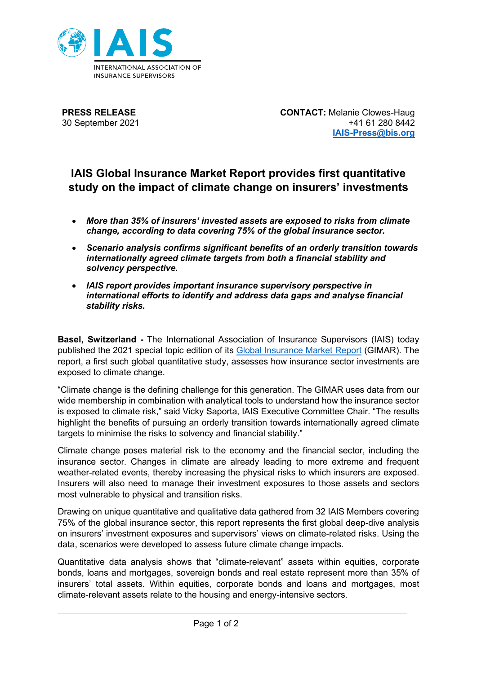

**PRESS RELEASE** 30 September 2021 **CONTACT:** Melanie Clowes-Haug +41 61 280 8442 **IAIS-Press@bis.org**

## **IAIS Global Insurance Market Report provides first quantitative study on the impact of climate change on insurers' investments**

- *More than 35% of insurers' invested assets are exposed to risks from climate change, according to data covering 75% of the global insurance sector.*
- *Scenario analysis confirms significant benefits of an orderly transition towards internationally agreed climate targets from both a financial stability and solvency perspective.*
- *IAIS report provides important insurance supervisory perspective in international efforts to identify and address data gaps and analyse financial stability risks.*

**Basel, Switzerland -** The International Association of Insurance Supervisors (IAIS) today published the 2021 special topic edition of its [Global Insurance Market Report](https://www.iaisweb.org/page/supervisory-material/financial-stability/global-insurance-market-report-gimar/file/99548/gimar-special-topic-edition-climate-change) (GIMAR). The report, a first such global quantitative study, assesses how insurance sector investments are exposed to climate change.

"Climate change is the defining challenge for this generation. The GIMAR uses data from our wide membership in combination with analytical tools to understand how the insurance sector is exposed to climate risk," said Vicky Saporta, IAIS Executive Committee Chair. "The results highlight the benefits of pursuing an orderly transition towards internationally agreed climate targets to minimise the risks to solvency and financial stability."

Climate change poses material risk to the economy and the financial sector, including the insurance sector. Changes in climate are already leading to more extreme and frequent weather-related events, thereby increasing the physical risks to which insurers are exposed. Insurers will also need to manage their investment exposures to those assets and sectors most vulnerable to physical and transition risks.

Drawing on unique quantitative and qualitative data gathered from 32 IAIS Members covering 75% of the global insurance sector, this report represents the first global deep-dive analysis on insurers' investment exposures and supervisors' views on climate-related risks. Using the data, scenarios were developed to assess future climate change impacts.

Quantitative data analysis shows that "climate-relevant" assets within equities, corporate bonds, loans and mortgages, sovereign bonds and real estate represent more than 35% of insurers' total assets. Within equities, corporate bonds and loans and mortgages, most climate-relevant assets relate to the housing and energy-intensive sectors.